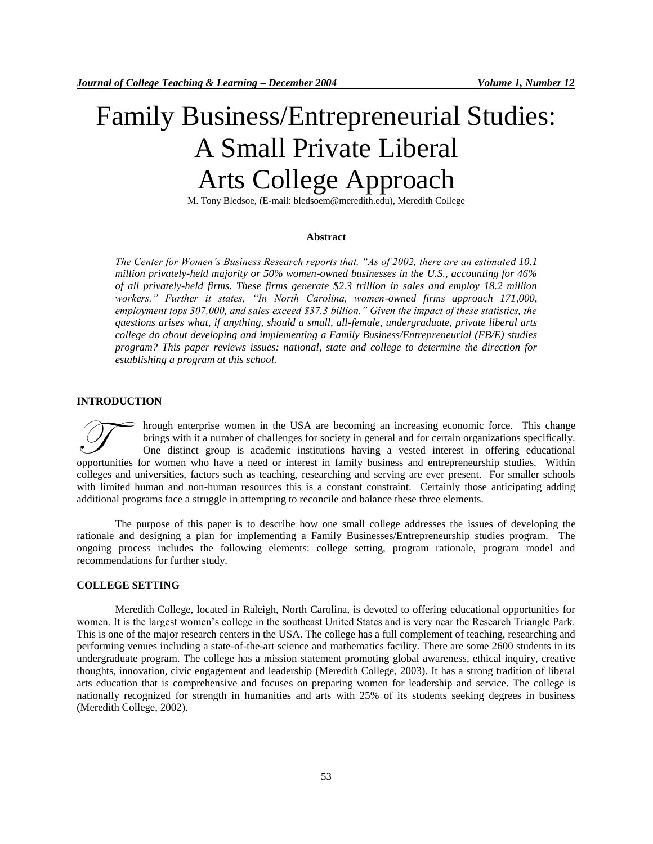# Family Business/Entrepreneurial Studies: A Small Private Liberal Arts College Approach

M. Tony Bledsoe, (E-mail: bledsoem@meredith.edu), Meredith College

## **Abstract**

*The Center for Women's Business Research reports that, "As of 2002, there are an estimated 10.1 million privately-held majority or 50% women-owned businesses in the U.S., accounting for 46% of all privately-held firms. These firms generate \$2.3 trillion in sales and employ 18.2 million*  workers." Further it states, "In North Carolina, women-owned firms approach 171,000, *employment tops 307,000, and sales exceed \$37.3 billion." Given the impact of these statistics, the questions arises what, if anything, should a small, all-female, undergraduate, private liberal arts college do about developing and implementing a Family Business/Entrepreneurial (FB/E) studies program? This paper reviews issues: national, state and college to determine the direction for establishing a program at this school.*

#### **INTRODUCTION**

hrough enterprise women in the USA are becoming an increasing economic force. This change brings with it a number of challenges for society in general and for certain organizations specifically. One distinct group is academic institutions having a vested interest in offering educational opportunities for women who have a need or interest in family business and entrepreneurship studies. Within opportunities for women who have a need or interest in family business and entrepreneurship studies. Within colleges and universities, factors such as teaching, researching and serving are ever present. For smaller schools with limited human and non-human resources this is a constant constraint. Certainly those anticipating adding additional programs face a struggle in attempting to reconcile and balance these three elements.

The purpose of this paper is to describe how one small college addresses the issues of developing the rationale and designing a plan for implementing a Family Businesses/Entrepreneurship studies program. The ongoing process includes the following elements: college setting, program rationale, program model and recommendations for further study.

# **COLLEGE SETTING**

Meredith College, located in Raleigh, North Carolina, is devoted to offering educational opportunities for women. It is the largest women's college in the southeast United States and is very near the Research Triangle Park. This is one of the major research centers in the USA. The college has a full complement of teaching, researching and performing venues including a state-of-the-art science and mathematics facility. There are some 2600 students in its undergraduate program. The college has a mission statement promoting global awareness, ethical inquiry, creative thoughts, innovation, civic engagement and leadership (Meredith College, 2003). It has a strong tradition of liberal arts education that is comprehensive and focuses on preparing women for leadership and service. The college is nationally recognized for strength in humanities and arts with 25% of its students seeking degrees in business (Meredith College, 2002).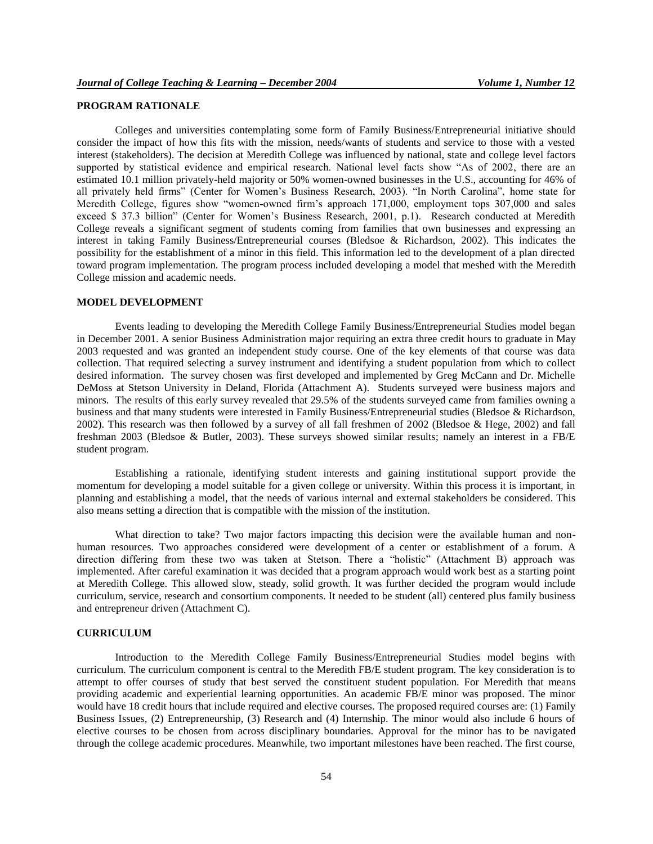## **PROGRAM RATIONALE**

Colleges and universities contemplating some form of Family Business/Entrepreneurial initiative should consider the impact of how this fits with the mission, needs/wants of students and service to those with a vested interest (stakeholders). The decision at Meredith College was influenced by national, state and college level factors supported by statistical evidence and empirical research. National level facts show "As of 2002, there are an estimated 10.1 million privately-held majority or 50% women-owned businesses in the U.S., accounting for 46% of all privately held firms" (Center for Women's Business Research, 2003). "In North Carolina", home state for Meredith College, figures show "women-owned firm's approach 171,000, employment tops 307,000 and sales exceed \$ 37.3 billion" (Center for Women's Business Research, 2001, p.1). Research conducted at Meredith College reveals a significant segment of students coming from families that own businesses and expressing an interest in taking Family Business/Entrepreneurial courses (Bledsoe & Richardson, 2002). This indicates the possibility for the establishment of a minor in this field. This information led to the development of a plan directed toward program implementation. The program process included developing a model that meshed with the Meredith College mission and academic needs.

#### **MODEL DEVELOPMENT**

Events leading to developing the Meredith College Family Business/Entrepreneurial Studies model began in December 2001. A senior Business Administration major requiring an extra three credit hours to graduate in May 2003 requested and was granted an independent study course. One of the key elements of that course was data collection. That required selecting a survey instrument and identifying a student population from which to collect desired information. The survey chosen was first developed and implemented by Greg McCann and Dr. Michelle DeMoss at Stetson University in Deland, Florida (Attachment A). Students surveyed were business majors and minors. The results of this early survey revealed that 29.5% of the students surveyed came from families owning a business and that many students were interested in Family Business/Entrepreneurial studies (Bledsoe & Richardson, 2002). This research was then followed by a survey of all fall freshmen of 2002 (Bledsoe & Hege, 2002) and fall freshman 2003 (Bledsoe & Butler, 2003). These surveys showed similar results; namely an interest in a FB/E student program.

Establishing a rationale, identifying student interests and gaining institutional support provide the momentum for developing a model suitable for a given college or university. Within this process it is important, in planning and establishing a model, that the needs of various internal and external stakeholders be considered. This also means setting a direction that is compatible with the mission of the institution.

What direction to take? Two major factors impacting this decision were the available human and nonhuman resources. Two approaches considered were development of a center or establishment of a forum. A direction differing from these two was taken at Stetson. There a "holistic" (Attachment B) approach was implemented. After careful examination it was decided that a program approach would work best as a starting point at Meredith College. This allowed slow, steady, solid growth. It was further decided the program would include curriculum, service, research and consortium components. It needed to be student (all) centered plus family business and entrepreneur driven (Attachment C).

## **CURRICULUM**

Introduction to the Meredith College Family Business/Entrepreneurial Studies model begins with curriculum. The curriculum component is central to the Meredith FB/E student program. The key consideration is to attempt to offer courses of study that best served the constituent student population. For Meredith that means providing academic and experiential learning opportunities. An academic FB/E minor was proposed. The minor would have 18 credit hours that include required and elective courses. The proposed required courses are: (1) Family Business Issues, (2) Entrepreneurship, (3) Research and (4) Internship. The minor would also include 6 hours of elective courses to be chosen from across disciplinary boundaries. Approval for the minor has to be navigated through the college academic procedures. Meanwhile, two important milestones have been reached. The first course,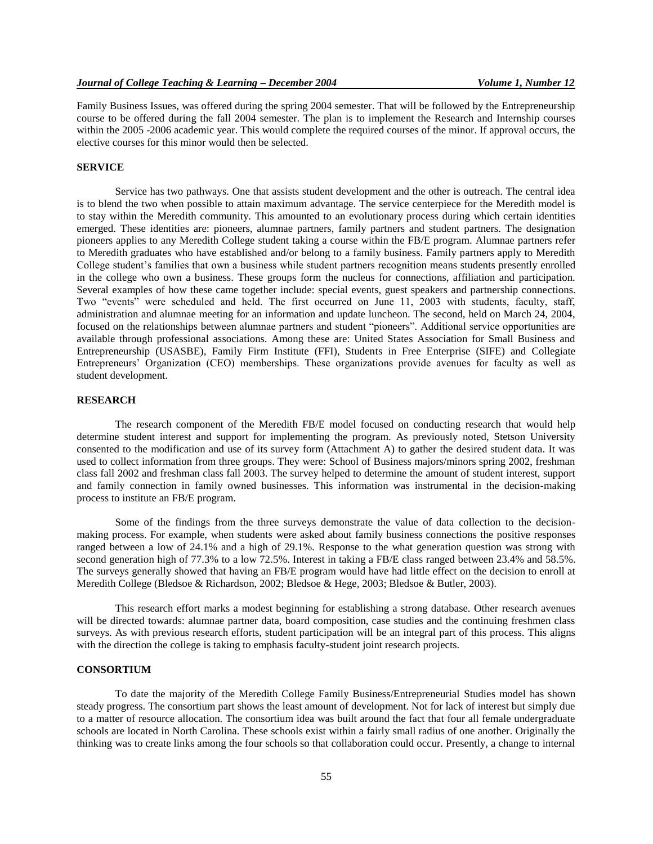Family Business Issues, was offered during the spring 2004 semester. That will be followed by the Entrepreneurship course to be offered during the fall 2004 semester. The plan is to implement the Research and Internship courses within the 2005 -2006 academic year. This would complete the required courses of the minor. If approval occurs, the elective courses for this minor would then be selected.

#### **SERVICE**

Service has two pathways. One that assists student development and the other is outreach. The central idea is to blend the two when possible to attain maximum advantage. The service centerpiece for the Meredith model is to stay within the Meredith community. This amounted to an evolutionary process during which certain identities emerged. These identities are: pioneers, alumnae partners, family partners and student partners. The designation pioneers applies to any Meredith College student taking a course within the FB/E program. Alumnae partners refer to Meredith graduates who have established and/or belong to a family business. Family partners apply to Meredith College student's families that own a business while student partners recognition means students presently enrolled in the college who own a business. These groups form the nucleus for connections, affiliation and participation. Several examples of how these came together include: special events, guest speakers and partnership connections. Two "events" were scheduled and held. The first occurred on June 11, 2003 with students, faculty, staff, administration and alumnae meeting for an information and update luncheon. The second, held on March 24, 2004, focused on the relationships between alumnae partners and student "pioneers". Additional service opportunities are available through professional associations. Among these are: United States Association for Small Business and Entrepreneurship (USASBE), Family Firm Institute (FFI), Students in Free Enterprise (SIFE) and Collegiate Entrepreneurs' Organization (CEO) memberships. These organizations provide avenues for faculty as well as student development.

## **RESEARCH**

The research component of the Meredith FB/E model focused on conducting research that would help determine student interest and support for implementing the program. As previously noted, Stetson University consented to the modification and use of its survey form (Attachment A) to gather the desired student data. It was used to collect information from three groups. They were: School of Business majors/minors spring 2002, freshman class fall 2002 and freshman class fall 2003. The survey helped to determine the amount of student interest, support and family connection in family owned businesses. This information was instrumental in the decision-making process to institute an FB/E program.

Some of the findings from the three surveys demonstrate the value of data collection to the decisionmaking process. For example, when students were asked about family business connections the positive responses ranged between a low of 24.1% and a high of 29.1%. Response to the what generation question was strong with second generation high of 77.3% to a low 72.5%. Interest in taking a FB/E class ranged between 23.4% and 58.5%. The surveys generally showed that having an FB/E program would have had little effect on the decision to enroll at Meredith College (Bledsoe & Richardson, 2002; Bledsoe & Hege, 2003; Bledsoe & Butler, 2003).

This research effort marks a modest beginning for establishing a strong database. Other research avenues will be directed towards: alumnae partner data, board composition, case studies and the continuing freshmen class surveys. As with previous research efforts, student participation will be an integral part of this process. This aligns with the direction the college is taking to emphasis faculty-student joint research projects.

### **CONSORTIUM**

To date the majority of the Meredith College Family Business/Entrepreneurial Studies model has shown steady progress. The consortium part shows the least amount of development. Not for lack of interest but simply due to a matter of resource allocation. The consortium idea was built around the fact that four all female undergraduate schools are located in North Carolina. These schools exist within a fairly small radius of one another. Originally the thinking was to create links among the four schools so that collaboration could occur. Presently, a change to internal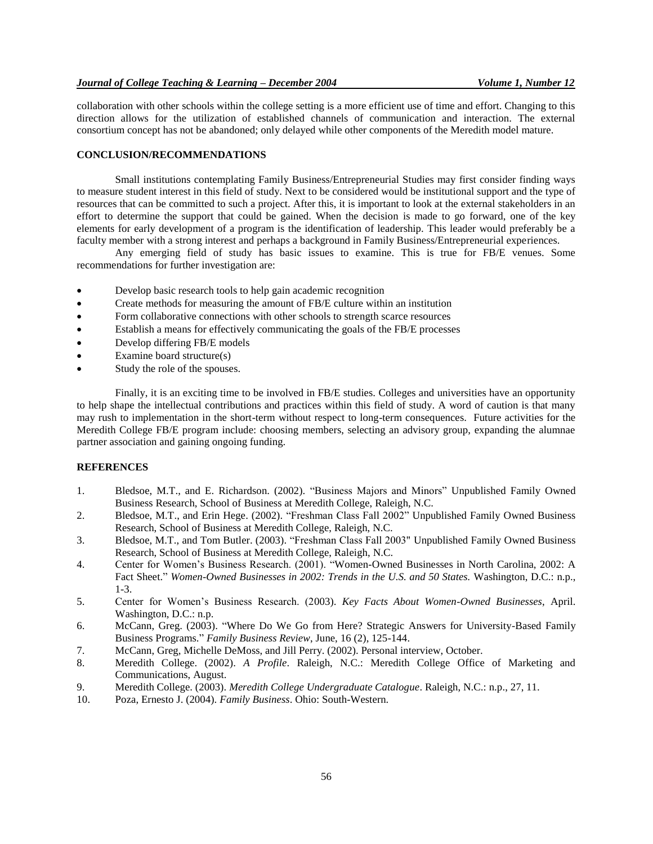collaboration with other schools within the college setting is a more efficient use of time and effort. Changing to this direction allows for the utilization of established channels of communication and interaction. The external consortium concept has not be abandoned; only delayed while other components of the Meredith model mature.

## **CONCLUSION/RECOMMENDATIONS**

Small institutions contemplating Family Business/Entrepreneurial Studies may first consider finding ways to measure student interest in this field of study. Next to be considered would be institutional support and the type of resources that can be committed to such a project. After this, it is important to look at the external stakeholders in an effort to determine the support that could be gained. When the decision is made to go forward, one of the key elements for early development of a program is the identification of leadership. This leader would preferably be a faculty member with a strong interest and perhaps a background in Family Business/Entrepreneurial experiences.

Any emerging field of study has basic issues to examine. This is true for FB/E venues. Some recommendations for further investigation are:

- Develop basic research tools to help gain academic recognition
- Create methods for measuring the amount of FB/E culture within an institution
- Form collaborative connections with other schools to strength scarce resources
- Establish a means for effectively communicating the goals of the FB/E processes
- Develop differing FB/E models
- Examine board structure(s)
- Study the role of the spouses.

Finally, it is an exciting time to be involved in FB/E studies. Colleges and universities have an opportunity to help shape the intellectual contributions and practices within this field of study. A word of caution is that many may rush to implementation in the short-term without respect to long-term consequences. Future activities for the Meredith College FB/E program include: choosing members, selecting an advisory group, expanding the alumnae partner association and gaining ongoing funding.

#### **REFERENCES**

- 1. Bledsoe, M.T., and E. Richardson. (2002). "Business Majors and Minors" Unpublished Family Owned Business Research, School of Business at Meredith College, Raleigh, N.C.
- 2. Bledsoe, M.T., and Erin Hege. (2002). "Freshman Class Fall 2002" Unpublished Family Owned Business Research, School of Business at Meredith College, Raleigh, N.C.
- 3. Bledsoe, M.T., and Tom Butler. (2003). "Freshman Class Fall 2003" Unpublished Family Owned Business Research, School of Business at Meredith College, Raleigh, N.C.
- 4. Center for Women's Business Research. (2001). "Women-Owned Businesses in North Carolina, 2002: A Fact Sheet." *Women-Owned Businesses in 2002: Trends in the U.S. and 50 States.* Washington, D.C.: n.p., 1-3.
- 5. Center for Women's Business Research. (2003). *Key Facts About Women-Owned Businesses*, April. Washington, D.C.: n.p.
- 6. McCann, Greg. (2003). "Where Do We Go from Here? Strategic Answers for University-Based Family Business Programs." *Family Business Review*, June, 16 (2), 125-144.
- 7. McCann, Greg, Michelle DeMoss, and Jill Perry. (2002). Personal interview, October.
- 8. Meredith College. (2002). *A Profile*. Raleigh, N.C.: Meredith College Office of Marketing and Communications, August.
- 9. Meredith College. (2003). *Meredith College Undergraduate Catalogue*. Raleigh, N.C.: n.p., 27, 11.
- 10. Poza, Ernesto J. (2004). *Family Business*. Ohio: South-Western.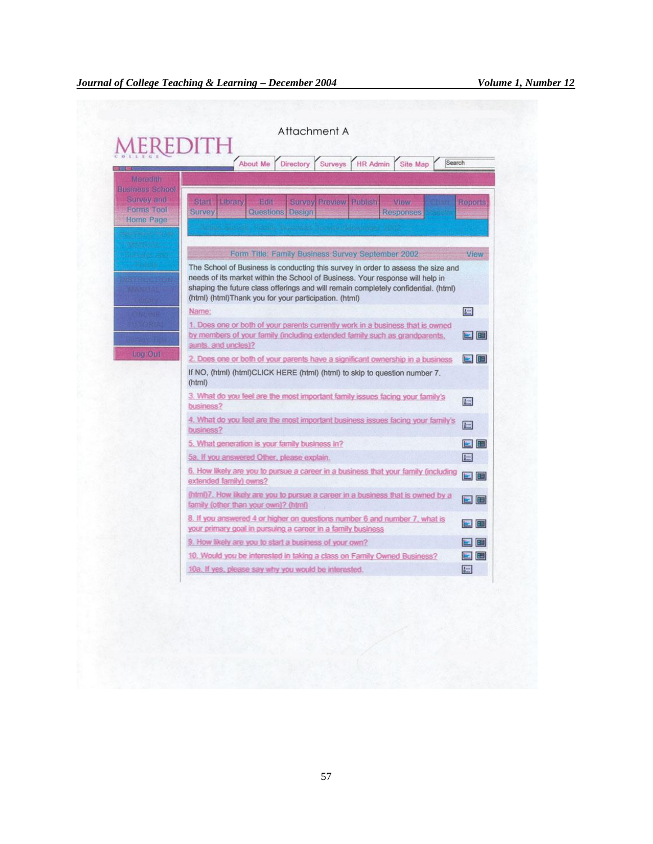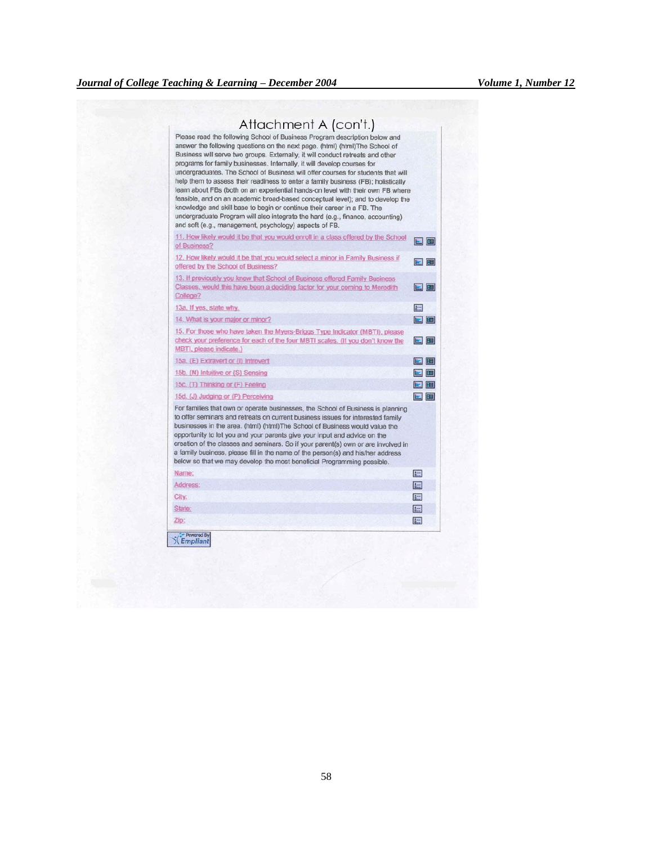| Please read the following School of Business Program description below and<br>answer the following questions on the next page. (html) (html) The School of<br>Business will serve two groups. Externally, it will conduct retreats and other<br>programs for family businesses. Internally, it will develop courses for<br>undergraduates. The School of Business will offer courses for students that will<br>help them to assess their readiness to enter a family business (FB); holistically<br>learn about FBs (both on an experiential hands-on level with their own FB where<br>feasible, and on an academic broad-based conceptual level); and to develop the<br>knowledge and skill base to begin or continue their career in a FB. The<br>undergraduate Program will also integrate the hard (e.g., finance, accounting)<br>and soft (e.g., management, psychology) aspects of FB. |                                 |
|----------------------------------------------------------------------------------------------------------------------------------------------------------------------------------------------------------------------------------------------------------------------------------------------------------------------------------------------------------------------------------------------------------------------------------------------------------------------------------------------------------------------------------------------------------------------------------------------------------------------------------------------------------------------------------------------------------------------------------------------------------------------------------------------------------------------------------------------------------------------------------------------|---------------------------------|
| 11. How likely would it be that you would enroll in a class offered by the School<br>of Business?                                                                                                                                                                                                                                                                                                                                                                                                                                                                                                                                                                                                                                                                                                                                                                                            | eib                             |
| 12. How likely would it be that you would select a minor in Family Business if<br>offered by the School of Business?                                                                                                                                                                                                                                                                                                                                                                                                                                                                                                                                                                                                                                                                                                                                                                         | ■■                              |
| 13. If previously you knew that School of Business offered Family Business<br>Classes, would this have been a deciding factor for your coming to Meredith<br>College?                                                                                                                                                                                                                                                                                                                                                                                                                                                                                                                                                                                                                                                                                                                        | 日間                              |
| 13a. If yes, state why.                                                                                                                                                                                                                                                                                                                                                                                                                                                                                                                                                                                                                                                                                                                                                                                                                                                                      | $\frac{1}{2}$ and $\frac{1}{2}$ |
| 14. What is your major or minor?                                                                                                                                                                                                                                                                                                                                                                                                                                                                                                                                                                                                                                                                                                                                                                                                                                                             | ■田                              |
| 15. For those who have taken the Myers-Briggs Type Indicator (MBTI), please<br>check your preference for each of the four MBTI scales. (If you don't know the<br>MBTI, please indicate.)                                                                                                                                                                                                                                                                                                                                                                                                                                                                                                                                                                                                                                                                                                     | 国田                              |
| 15a. (E) Extravert or (I) Introvert                                                                                                                                                                                                                                                                                                                                                                                                                                                                                                                                                                                                                                                                                                                                                                                                                                                          | <b>E 田</b>                      |
| 15b. (N) Intuitive or (S) Sensing                                                                                                                                                                                                                                                                                                                                                                                                                                                                                                                                                                                                                                                                                                                                                                                                                                                            | 国国                              |
| 15c. (T) Thinking or (F) Feeling                                                                                                                                                                                                                                                                                                                                                                                                                                                                                                                                                                                                                                                                                                                                                                                                                                                             | 日国                              |
| 15d. (J) Judging or (P) Perceiving                                                                                                                                                                                                                                                                                                                                                                                                                                                                                                                                                                                                                                                                                                                                                                                                                                                           | ┗ 国                             |
| For families that own or operate businesses, the School of Business is planning<br>to offer seminars and retreats on current business issues for interested family<br>businesses in the area. (html) (html) The School of Business would value the<br>opportunity to let you and your parents give your input and advice on the<br>creation of the classes and seminars. So if your parent(s) own or are involved in<br>a family business, please fill in the name of the person(s) and his/her address<br>below so that we may develop the most beneficial Programming possible.                                                                                                                                                                                                                                                                                                            |                                 |
| Name:                                                                                                                                                                                                                                                                                                                                                                                                                                                                                                                                                                                                                                                                                                                                                                                                                                                                                        | 囆                               |
| Address:                                                                                                                                                                                                                                                                                                                                                                                                                                                                                                                                                                                                                                                                                                                                                                                                                                                                                     | 画                               |
| City:                                                                                                                                                                                                                                                                                                                                                                                                                                                                                                                                                                                                                                                                                                                                                                                                                                                                                        | 疆                               |
| State:                                                                                                                                                                                                                                                                                                                                                                                                                                                                                                                                                                                                                                                                                                                                                                                                                                                                                       | 圈                               |
| Zip:                                                                                                                                                                                                                                                                                                                                                                                                                                                                                                                                                                                                                                                                                                                                                                                                                                                                                         | 屋                               |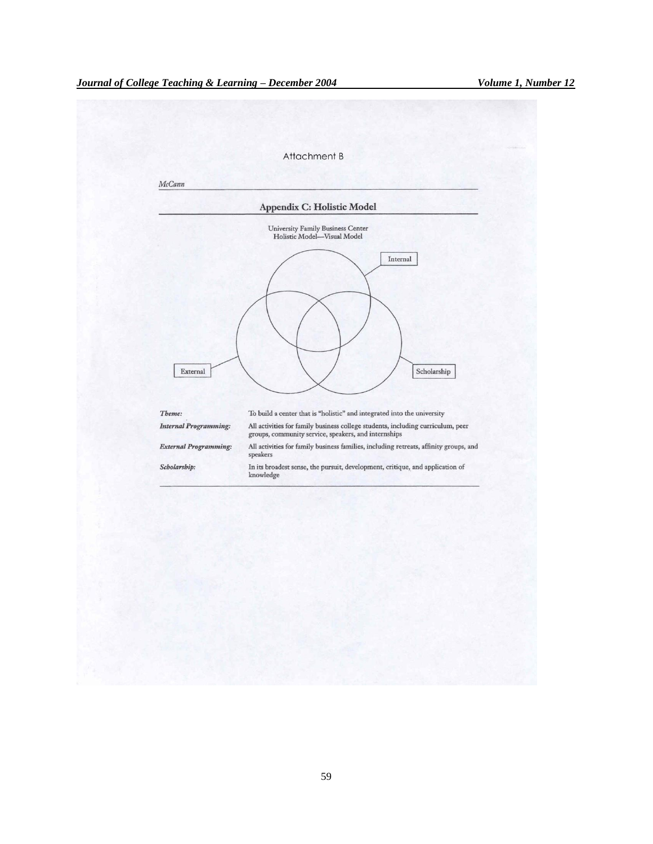